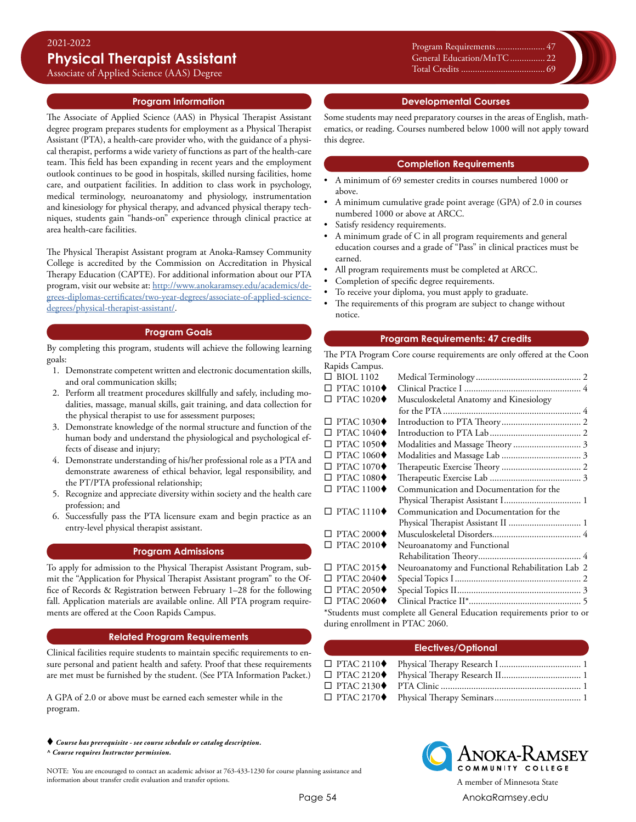Associate of Applied Science (AAS) Degree

### **Program Information**

The Associate of Applied Science (AAS) in Physical Therapist Assistant degree program prepares students for employment as a Physical Therapist Assistant (PTA), a health-care provider who, with the guidance of a physical therapist, performs a wide variety of functions as part of the health-care team. This field has been expanding in recent years and the employment outlook continues to be good in hospitals, skilled nursing facilities, home care, and outpatient facilities. In addition to class work in psychology, medical terminology, neuroanatomy and physiology, instrumentation and kinesiology for physical therapy, and advanced physical therapy techniques, students gain "hands-on" experience through clinical practice at area health-care facilities.

The Physical Therapist Assistant program at Anoka-Ramsey Community College is accredited by the Commission on Accreditation in Physical Therapy Education (CAPTE). For additional information about our PTA program, visit our website at: [http://www.anokaramsey.edu/academics/de](http://www.anokaramsey.edu/academics/degrees-diplomas-certificates/two-year-degrees/associate-of-applied-science-degrees/physical-therapist-assistant/)[grees-diplomas-certificates/two-year-degrees/associate-of-applied-science](http://www.anokaramsey.edu/academics/degrees-diplomas-certificates/two-year-degrees/associate-of-applied-science-degrees/physical-therapist-assistant/)[degrees/physical-therapist-assistant/](http://www.anokaramsey.edu/academics/degrees-diplomas-certificates/two-year-degrees/associate-of-applied-science-degrees/physical-therapist-assistant/).

## **Program Goals**

By completing this program, students will achieve the following learning goals:

- 1. Demonstrate competent written and electronic documentation skills, and oral communication skills;
- 2. Perform all treatment procedures skillfully and safely, including modalities, massage, manual skills, gait training, and data collection for the physical therapist to use for assessment purposes;
- 3. Demonstrate knowledge of the normal structure and function of the human body and understand the physiological and psychological effects of disease and injury;
- 4. Demonstrate understanding of his/her professional role as a PTA and demonstrate awareness of ethical behavior, legal responsibility, and the PT/PTA professional relationship;
- 5. Recognize and appreciate diversity within society and the health care profession; and
- 6. Successfully pass the PTA licensure exam and begin practice as an entry-level physical therapist assistant.

#### **Program Admissions**

To apply for admission to the Physical Therapist Assistant Program, submit the "Application for Physical Therapist Assistant program" to the Office of Records & Registration between February 1–28 for the following fall. Application materials are available online. All PTA program requirements are offered at the Coon Rapids Campus.

#### **Related Program Requirements**

Clinical facilities require students to maintain specific requirements to ensure personal and patient health and safety. Proof that these requirements are met must be furnished by the student. (See PTA Information Packet.)

A GPA of 2.0 or above must be earned each semester while in the program.

 *Course has prerequisite - see course schedule or catalog description. ^ Course requires Instructor permission.*

NOTE: You are encouraged to contact an academic advisor at 763-433-1230 for course planning assistance and information about transfer credit evaluation and transfer options. A member of Minnesota State

Xxxxx............................................0 Program Requirements...................... 47 Xxxxx............................................0 General Education/MnTC................ 22 Xxxxx............................................0 Total Credits.................................0 Total Credits..................................... 69

## **Developmental Courses**

Some students may need preparatory courses in the areas of English, mathematics, or reading. Courses numbered below 1000 will not apply toward this degree.

### **Completion Requirements**

- A minimum of 69 semester credits in courses numbered 1000 or above.
- A minimum cumulative grade point average (GPA) of 2.0 in courses numbered 1000 or above at ARCC.
- Satisfy residency requirements.
- A minimum grade of C in all program requirements and general education courses and a grade of "Pass" in clinical practices must be earned.
- All program requirements must be completed at ARCC.
- Completion of specific degree requirements.
- To receive your diploma, you must apply to graduate.
- The requirements of this program are subject to change without notice.

#### **Program Requirements: 47 credits**

The PTA Program Core course requirements are only offered at the Coon Rapids Campus.

| $\Box$ BIOL 1102                                                       |                                                  |  |  |  |
|------------------------------------------------------------------------|--------------------------------------------------|--|--|--|
| $\square$ PTAC 1010 $\blacklozenge$                                    |                                                  |  |  |  |
| $\square$ PTAC 1020 $\blacklozenge$                                    | Musculoskeletal Anatomy and Kinesiology          |  |  |  |
|                                                                        |                                                  |  |  |  |
| $\square$ PTAC 1030 $\blacklozenge$                                    |                                                  |  |  |  |
| $\square$ PTAC 1040 $\blacklozenge$                                    |                                                  |  |  |  |
| $\square$ PTAC 1050 $\blacklozenge$                                    |                                                  |  |  |  |
| $\square$ PTAC 1060 $\blacklozenge$                                    |                                                  |  |  |  |
| $\square$ PTAC 1070 $\blacklozenge$                                    |                                                  |  |  |  |
| $\square$ PTAC 1080 $\blacklozenge$                                    |                                                  |  |  |  |
| $\square$ PTAC 1100 $\blacklozenge$                                    | Communication and Documentation for the          |  |  |  |
|                                                                        |                                                  |  |  |  |
| $\square$ PTAC 1110 $\blacklozenge$                                    | Communication and Documentation for the          |  |  |  |
|                                                                        |                                                  |  |  |  |
| $\Box$ PTAC 2000 $\blacklozenge$                                       |                                                  |  |  |  |
| $\square$ PTAC 2010 $\blacklozenge$                                    | Neuroanatomy and Functional                      |  |  |  |
|                                                                        |                                                  |  |  |  |
| $\square$ PTAC 2015 $\blacklozenge$                                    | Neuroanatomy and Functional Rehabilitation Lab 2 |  |  |  |
| $\Box$ PTAC 2040 $\blacklozenge$                                       |                                                  |  |  |  |
| $\square$ PTAC 2050 $\blacklozenge$                                    |                                                  |  |  |  |
| $\square$ PTAC 2060 $\blacklozenge$                                    |                                                  |  |  |  |
| *Students must complete all General Education requirements prior to or |                                                  |  |  |  |
| during enrollment in PTAC 2060.                                        |                                                  |  |  |  |
|                                                                        |                                                  |  |  |  |

## **Electives/Optional**



Page 54 [AnokaRamsey.e](http://www.anokaramsey.edu/)du